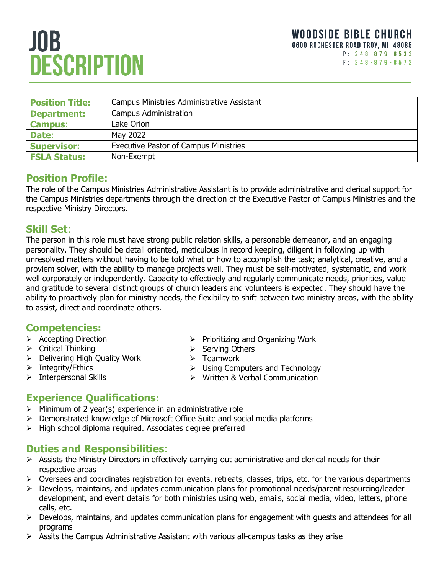# **JOB DESCRIPTION**

| <b>Position Title:</b> | Campus Ministries Administrative Assistant   |
|------------------------|----------------------------------------------|
| <b>Department:</b>     | <b>Campus Administration</b>                 |
| <b>Campus:</b>         | Lake Orion                                   |
| Date:                  | May 2022                                     |
| <b>Supervisor:</b>     | <b>Executive Pastor of Campus Ministries</b> |
| <b>FSLA Status:</b>    | Non-Exempt                                   |

## **Position Profile:**

The role of the Campus Ministries Administrative Assistant is to provide administrative and clerical support for the Campus Ministries departments through the direction of the Executive Pastor of Campus Ministries and the respective Ministry Directors.

#### **Skill Set**:

The person in this role must have strong public relation skills, a personable demeanor, and an engaging personality. They should be detail oriented, meticulous in record keeping, diligent in following up with unresolved matters without having to be told what or how to accomplish the task; analytical, creative, and a provlem solver, with the ability to manage projects well. They must be self-motivated, systematic, and work well corporately or independently. Capacity to effectively and regularly communicate needs, priorities, value and gratitude to several distinct groups of church leaders and volunteers is expected. They should have the ability to proactively plan for ministry needs, the flexibility to shift between two ministry areas, with the ability to assist, direct and coordinate others.

# **Competencies:**

- ➢ Accepting Direction
- ➢ Critical Thinking
- ➢ Delivering High Quality Work
- ➢ Integrity/Ethics
- ➢ Interpersonal Skills
- ➢ Prioritizing and Organizing Work
- ➢ Serving Others
- ➢ Teamwork
- ➢ Using Computers and Technology
- ➢ Written & Verbal Communication

# **Experience Qualifications:**

- $\triangleright$  Minimum of 2 year(s) experience in an administrative role
- ➢ Demonstrated knowledge of Microsoft Office Suite and social media platforms
- ➢ High school diploma required. Associates degree preferred

# **Duties and Responsibilities**:

- ➢ Assists the Ministry Directors in effectively carrying out administrative and clerical needs for their respective areas
- $\triangleright$  Oversees and coordinates registration for events, retreats, classes, trips, etc. for the various departments
- ➢ Develops, maintains, and updates communication plans for promotional needs/parent resourcing/leader development, and event details for both ministries using web, emails, social media, video, letters, phone calls, etc.
- ➢ Develops, maintains, and updates communication plans for engagement with guests and attendees for all programs
- $\triangleright$  Assits the Campus Administrative Assistant with various all-campus tasks as they arise